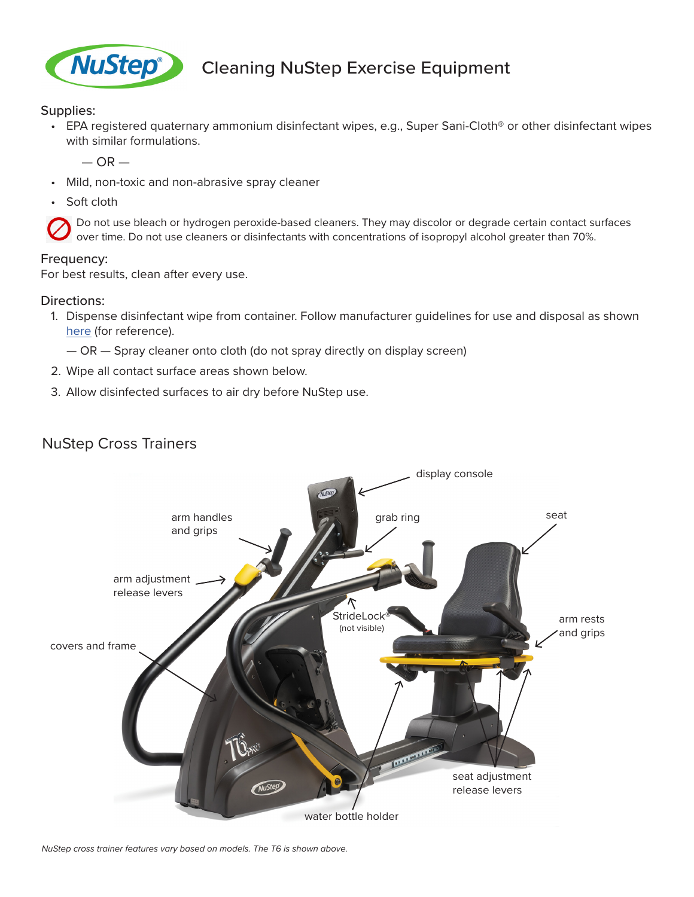

## **NuStep** Cleaning NuStep Exercise Equipment

Supplies:

• EPA registered quaternary ammonium disinfectant wipes, e.g., Super Sani-Cloth® or other disinfectant wipes with similar formulations.

 $-$  OR  $-$ 

- Mild, non-toxic and non-abrasive spray cleaner
- Soft cloth

Do not use bleach or hydrogen peroxide-based cleaners. They may discolor or degrade certain contact surfaces over time. Do not use cleaners or disinfectants with concentrations of isopropyl alcohol greater than 70%.

## Frequency:

For best results, clean after every use.

## Directions:

1. Dispense disinfectant wipe from container. Follow manufacturer guidelines for use and disposal as shown [here](https://pdihc.com/in-service/super-sani-cloth-instructions-for-use-ifu-sign/) (for reference).

— OR — Spray cleaner onto cloth (do not spray directly on display screen)

- 2. Wipe all contact surface areas shown below.
- 3. Allow disinfected surfaces to air dry before NuStep use.

## NuStep Cross Trainers



*NuStep cross trainer features vary based on models. The T6 is shown above.*